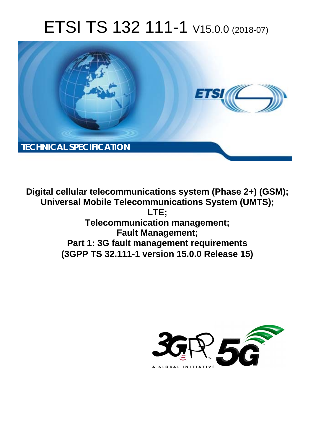# ETSI TS 132 111-1 V15.0.0 (2018-07)



**Digital cellular telecommunications system (Phase 2+) (GSM); Universal Mobile Telecommunications System (UMTS); LTE; Telecommunication management; Fault Management; Part 1: 3G fault management requirements (3GPP TS 32.111-1 version 15.0.0 Release 15)** 

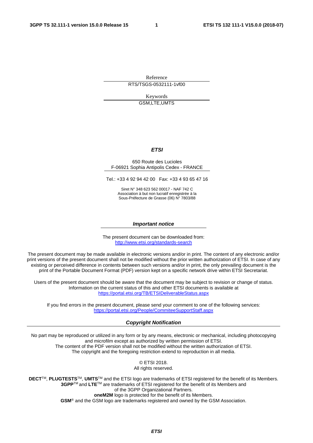Reference RTS/TSGS-0532111-1vf00

Keywords

GSM,LTE,UMTS

#### *ETSI*

#### 650 Route des Lucioles F-06921 Sophia Antipolis Cedex - FRANCE

Tel.: +33 4 92 94 42 00 Fax: +33 4 93 65 47 16

Siret N° 348 623 562 00017 - NAF 742 C Association à but non lucratif enregistrée à la Sous-Préfecture de Grasse (06) N° 7803/88

#### *Important notice*

The present document can be downloaded from: <http://www.etsi.org/standards-search>

The present document may be made available in electronic versions and/or in print. The content of any electronic and/or print versions of the present document shall not be modified without the prior written authorization of ETSI. In case of any existing or perceived difference in contents between such versions and/or in print, the only prevailing document is the print of the Portable Document Format (PDF) version kept on a specific network drive within ETSI Secretariat.

Users of the present document should be aware that the document may be subject to revision or change of status. Information on the current status of this and other ETSI documents is available at <https://portal.etsi.org/TB/ETSIDeliverableStatus.aspx>

If you find errors in the present document, please send your comment to one of the following services: <https://portal.etsi.org/People/CommiteeSupportStaff.aspx>

#### *Copyright Notification*

No part may be reproduced or utilized in any form or by any means, electronic or mechanical, including photocopying and microfilm except as authorized by written permission of ETSI. The content of the PDF version shall not be modified without the written authorization of ETSI. The copyright and the foregoing restriction extend to reproduction in all media.

> © ETSI 2018. All rights reserved.

**DECT**TM, **PLUGTESTS**TM, **UMTS**TM and the ETSI logo are trademarks of ETSI registered for the benefit of its Members. **3GPP**TM and **LTE**TM are trademarks of ETSI registered for the benefit of its Members and of the 3GPP Organizational Partners. **oneM2M** logo is protected for the benefit of its Members.

**GSM**® and the GSM logo are trademarks registered and owned by the GSM Association.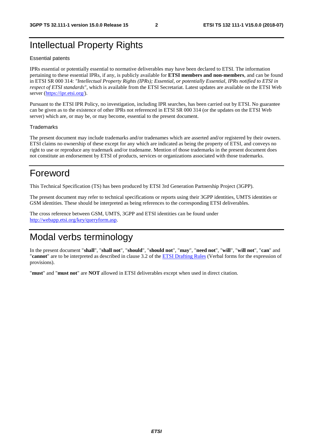### Intellectual Property Rights

#### Essential patents

IPRs essential or potentially essential to normative deliverables may have been declared to ETSI. The information pertaining to these essential IPRs, if any, is publicly available for **ETSI members and non-members**, and can be found in ETSI SR 000 314: *"Intellectual Property Rights (IPRs); Essential, or potentially Essential, IPRs notified to ETSI in respect of ETSI standards"*, which is available from the ETSI Secretariat. Latest updates are available on the ETSI Web server ([https://ipr.etsi.org/\)](https://ipr.etsi.org/).

Pursuant to the ETSI IPR Policy, no investigation, including IPR searches, has been carried out by ETSI. No guarantee can be given as to the existence of other IPRs not referenced in ETSI SR 000 314 (or the updates on the ETSI Web server) which are, or may be, or may become, essential to the present document.

#### **Trademarks**

The present document may include trademarks and/or tradenames which are asserted and/or registered by their owners. ETSI claims no ownership of these except for any which are indicated as being the property of ETSI, and conveys no right to use or reproduce any trademark and/or tradename. Mention of those trademarks in the present document does not constitute an endorsement by ETSI of products, services or organizations associated with those trademarks.

### Foreword

This Technical Specification (TS) has been produced by ETSI 3rd Generation Partnership Project (3GPP).

The present document may refer to technical specifications or reports using their 3GPP identities, UMTS identities or GSM identities. These should be interpreted as being references to the corresponding ETSI deliverables.

The cross reference between GSM, UMTS, 3GPP and ETSI identities can be found under [http://webapp.etsi.org/key/queryform.asp.](http://webapp.etsi.org/key/queryform.asp)

### Modal verbs terminology

In the present document "**shall**", "**shall not**", "**should**", "**should not**", "**may**", "**need not**", "**will**", "**will not**", "**can**" and "**cannot**" are to be interpreted as described in clause 3.2 of the [ETSI Drafting Rules](https://portal.etsi.org/Services/editHelp!/Howtostart/ETSIDraftingRules.aspx) (Verbal forms for the expression of provisions).

"**must**" and "**must not**" are **NOT** allowed in ETSI deliverables except when used in direct citation.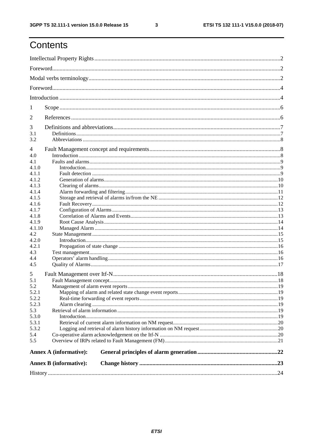$\mathbf{3}$ 

# Contents

| <b>Annex B</b> (informative): |  |  |  |  |  |  |
|-------------------------------|--|--|--|--|--|--|
| <b>Annex A (informative):</b> |  |  |  |  |  |  |
|                               |  |  |  |  |  |  |
|                               |  |  |  |  |  |  |
|                               |  |  |  |  |  |  |
| 5.3.1<br>5.3.2                |  |  |  |  |  |  |
| 5.3.0                         |  |  |  |  |  |  |
|                               |  |  |  |  |  |  |
|                               |  |  |  |  |  |  |
|                               |  |  |  |  |  |  |
|                               |  |  |  |  |  |  |
|                               |  |  |  |  |  |  |
|                               |  |  |  |  |  |  |
|                               |  |  |  |  |  |  |
|                               |  |  |  |  |  |  |
|                               |  |  |  |  |  |  |
|                               |  |  |  |  |  |  |
|                               |  |  |  |  |  |  |
|                               |  |  |  |  |  |  |
|                               |  |  |  |  |  |  |
|                               |  |  |  |  |  |  |
|                               |  |  |  |  |  |  |
|                               |  |  |  |  |  |  |
|                               |  |  |  |  |  |  |
|                               |  |  |  |  |  |  |
|                               |  |  |  |  |  |  |
|                               |  |  |  |  |  |  |
|                               |  |  |  |  |  |  |
|                               |  |  |  |  |  |  |
|                               |  |  |  |  |  |  |
|                               |  |  |  |  |  |  |
|                               |  |  |  |  |  |  |
|                               |  |  |  |  |  |  |
|                               |  |  |  |  |  |  |
|                               |  |  |  |  |  |  |
|                               |  |  |  |  |  |  |
|                               |  |  |  |  |  |  |
|                               |  |  |  |  |  |  |
|                               |  |  |  |  |  |  |
|                               |  |  |  |  |  |  |
|                               |  |  |  |  |  |  |
|                               |  |  |  |  |  |  |
|                               |  |  |  |  |  |  |
|                               |  |  |  |  |  |  |
|                               |  |  |  |  |  |  |
|                               |  |  |  |  |  |  |
|                               |  |  |  |  |  |  |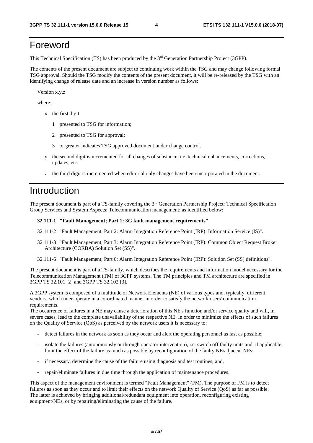# Foreword

This Technical Specification (TS) has been produced by the 3<sup>rd</sup> Generation Partnership Project (3GPP).

The contents of the present document are subject to continuing work within the TSG and may change following formal TSG approval. Should the TSG modify the contents of the present document, it will be re-released by the TSG with an identifying change of release date and an increase in version number as follows:

Version x.y.z

where:

- x the first digit:
	- 1 presented to TSG for information;
	- 2 presented to TSG for approval;
	- 3 or greater indicates TSG approved document under change control.
- y the second digit is incremented for all changes of substance, i.e. technical enhancements, corrections, updates, etc.
- z the third digit is incremented when editorial only changes have been incorporated in the document.

### Introduction

The present document is part of a TS-family covering the 3rd Generation Partnership Project: Technical Specification Group Services and System Aspects; Telecommunication management; as identified below:

#### **32.111-1 "Fault Management; Part 1: 3G fault management requirements".**

- 32.111-2 "Fault Management; Part 2: Alarm Integration Reference Point (IRP): Information Service (IS)".
- 32.111-3 "Fault Management; Part 3: Alarm Integration Reference Point (IRP): Common Object Request Broker Architecture (CORBA) Solution Set (SS)".
- 32.111-6 "Fault Management; Part 6: Alarm Integration Reference Point (IRP): Solution Set (SS) definitions".

The present document is part of a TS-family, which describes the requirements and information model necessary for the Telecommunication Management (TM) of 3GPP systems. The TM principles and TM architecture are specified in 3GPP TS 32.101 [2] and 3GPP TS 32.102 [3].

A 3GPP system is composed of a multitude of Network Elements (NE) of various types and, typically, different vendors, which inter-operate in a co-ordinated manner in order to satisfy the network users' communication requirements.

The occurrence of failures in a NE may cause a deterioration of this NE's function and/or service quality and will, in severe cases, lead to the complete unavailability of the respective NE. In order to minimize the effects of such failures on the Quality of Service (QoS) as perceived by the network users it is necessary to:

- detect failures in the network as soon as they occur and alert the operating personnel as fast as possible;
- isolate the failures (autonomously or through operator intervention), i.e. switch off faulty units and, if applicable, limit the effect of the failure as much as possible by reconfiguration of the faulty NE/adjacent NEs;
- if necessary, determine the cause of the failure using diagnosis and test routines; and,
- repair/eliminate failures in due time through the application of maintenance procedures.

This aspect of the management environment is termed "Fault Management" (FM). The purpose of FM is to detect failures as soon as they occur and to limit their effects on the network Quality of Service (QoS) as far as possible. The latter is achieved by bringing additional/redundant equipment into operation, reconfiguring existing equipment/NEs, or by repairing/eliminating the cause of the failure.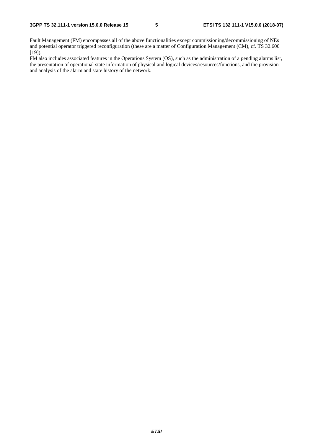Fault Management (FM) encompasses all of the above functionalities except commissioning/decommissioning of NEs and potential operator triggered reconfiguration (these are a matter of Configuration Management (CM), cf. TS 32.600 [19]).

FM also includes associated features in the Operations System (OS), such as the administration of a pending alarms list, the presentation of operational state information of physical and logical devices/resources/functions, and the provision and analysis of the alarm and state history of the network.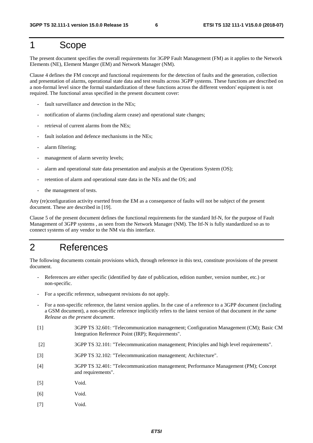## 1 Scope

The present document specifies the overall requirements for 3GPP Fault Management (FM) as it applies to the Network Elements (NE), Element Manger (EM) and Network Manager (NM).

Clause 4 defines the FM concept and functional requirements for the detection of faults and the generation, collection and presentation of alarms, operational state data and test results across 3GPP systems. These functions are described on a non-formal level since the formal standardization of these functions across the different vendors' equipment is not required. The functional areas specified in the present document cover:

- fault surveillance and detection in the NEs;
- notification of alarms (including alarm cease) and operational state changes;
- retrieval of current alarms from the NEs:
- fault isolation and defence mechanisms in the NEs:
- alarm filtering;
- management of alarm severity levels;
- alarm and operational state data presentation and analysis at the Operations System (OS);
- retention of alarm and operational state data in the NEs and the OS; and
- the management of tests.

Any (re)configuration activity exerted from the EM as a consequence of faults will not be subject of the present document. These are described in [19].

Clause 5 of the present document defines the functional requirements for the standard Itf-N, for the purpose of Fault Management of 3GPP systems , as seen from the Network Manager (NM). The Itf-N is fully standardized so as to connect systems of any vendor to the NM via this interface.

### 2 References

The following documents contain provisions which, through reference in this text, constitute provisions of the present document.

- References are either specific (identified by date of publication, edition number, version number, etc.) or non-specific.
- For a specific reference, subsequent revisions do not apply.
- For a non-specific reference, the latest version applies. In the case of a reference to a 3GPP document (including a GSM document), a non-specific reference implicitly refers to the latest version of that document *in the same Release as the present document*.
- [1] 3GPP TS 32.601: "Telecommunication management; Configuration Management (CM); Basic CM Integration Reference Point (IRP); Requirements".
- [2] 3GPP TS 32.101: "Telecommunication management; Principles and high level requirements".
- [3] 3GPP TS 32.102: "Telecommunication management; Architecture".
- [4] 3GPP TS 32.401: "Telecommunication management; Performance Management (PM); Concept and requirements".
- [5] Void.
- [6] Void.
- [7] Void.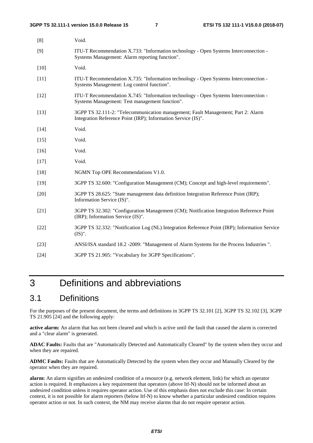| [8]    | Void.                                                                                                                                             |
|--------|---------------------------------------------------------------------------------------------------------------------------------------------------|
| [9]    | ITU-T Recommendation X.733: "Information technology - Open Systems Interconnection -<br>Systems Management: Alarm reporting function".            |
| $[10]$ | Void.                                                                                                                                             |
| $[11]$ | ITU-T Recommendation X.735: "Information technology - Open Systems Interconnection -<br>Systems Management: Log control function".                |
| $[12]$ | ITU-T Recommendation X.745: "Information technology - Open Systems Interconnection -<br>Systems Management: Test management function".            |
| $[13]$ | 3GPP TS 32.111-2: "Telecommunication management; Fault Management; Part 2: Alarm<br>Integration Reference Point (IRP); Information Service (IS)". |
| $[14]$ | Void.                                                                                                                                             |
| $[15]$ | Void.                                                                                                                                             |
| $[16]$ | Void.                                                                                                                                             |
| $[17]$ | Void.                                                                                                                                             |
| $[18]$ | NGMN Top OPE Recommendations V1.0.                                                                                                                |
| $[19]$ | 3GPP TS 32.600: "Configuration Management (CM); Concept and high-level requirements".                                                             |
| $[20]$ | 3GPP TS 28.625: "State management data definition Integration Reference Point (IRP);<br>Information Service (IS)".                                |
| $[21]$ | 3GPP TS 32.302: "Configuration Management (CM); Notification Integration Reference Point<br>(IRP); Information Service (IS)".                     |
| $[22]$ | 3GPP TS 32.332: "Notification Log (NL) Integration Reference Point (IRP); Information Service<br>$(IS)$ ".                                        |
| $[23]$ | ANSI/ISA standard 18.2 - 2009: "Management of Alarm Systems for the Process Industries".                                                          |
| $[24]$ | 3GPP TS 21.905: "Vocabulary for 3GPP Specifications".                                                                                             |

# 3 Definitions and abbreviations

### 3.1 Definitions

For the purposes of the present document, the terms and definitions in 3GPP TS 32.101 [2], 3GPP TS 32.102 [3], 3GPP TS 21.905 [24] and the following apply:

**active alarm:** An alarm that has not been cleared and which is active until the fault that caused the alarm is corrected and a "clear alarm" is generated.

**ADAC Faults:** Faults that are "Automatically Detected and Automatically Cleared" by the system when they occur and when they are repaired.

**ADMC Faults:** Faults that are Automatically Detected by the system when they occur and Manually Cleared by the operator when they are repaired.

**alarm:** An alarm signifies an undesired condition of a resource (e.g. network element, link) for which an operator action is required. It emphasizes a key requirement that operators (above Itf-N) should not be informed about an undesired condition unless it requires operator action. Use of this emphasis does not exclude this case: In certain context, it is not possible for alarm reporters (below Itf-N) to know whether a particular undesired condition requires operator action or not. In such context, the NM may receive alarms that do not require operator action.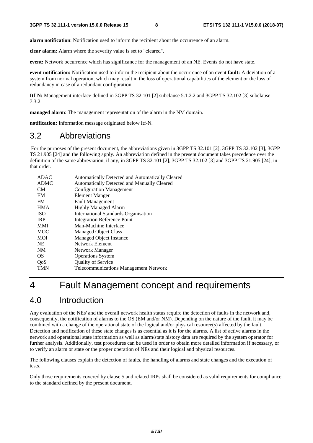**alarm notification**: Notification used to inform the recipient about the occurrence of an alarm.

**clear alarm:** Alarm where the severity value is set to "cleared".

**event:** Network occurrence which has significance for the management of an NE. Events do not have state.

**event notification:** Notification used to inform the recipient about the occurrence of an event.**fault:** A deviation of a system from normal operation, which may result in the loss of operational capabilities of the element or the loss of redundancy in case of a redundant configuration.

**Itf-N:** Management interface defined in 3GPP TS 32.101 [2] subclause 5.1.2.2 and 3GPP TS 32.102 [3] subclause 7.3.2.

**managed alarm**: The management representation of the alarm in the NM domain.

**notification:** Information message originated below Itf-N.

### 3.2 Abbreviations

 For the purposes of the present document, the abbreviations given in 3GPP TS 32.101 [2], 3GPP TS 32.102 [3], 3GPP TS 21.905 [24] and the following apply. An abbreviation defined in the present document takes precedence over the definition of the same abbreviation, if any, in 3GPP TS 32.101 [2], 3GPP TS 32.102 [3] and 3GPP TS 21.905 [24], in that order.

| Automatically Detected and Automatically Cleared |
|--------------------------------------------------|
| Automatically Detected and Manually Cleared      |
| <b>Configuration Management</b>                  |
| Element Manger                                   |
| <b>Fault Management</b>                          |
| <b>Highly Managed Alarm</b>                      |
| <b>International Standards Organisation</b>      |
| <b>Integration Reference Point</b>               |
| Man-Machine Interface                            |
| <b>Managed Object Class</b>                      |
| Managed Object Instance                          |
| Network Element                                  |
| Network Manager                                  |
| <b>Operations System</b>                         |
| <b>Quality of Service</b>                        |
| <b>Telecommunications Management Network</b>     |
|                                                  |

### 4 Fault Management concept and requirements

### 4.0 Introduction

Any evaluation of the NEs' and the overall network health status require the detection of faults in the network and, consequently, the notification of alarms to the OS (EM and/or NM). Depending on the nature of the fault, it may be combined with a change of the operational state of the logical and/or physical resource(s) affected by the fault. Detection and notification of these state changes is as essential as it is for the alarms. A list of active alarms in the network and operational state information as well as alarm/state history data are required by the system operator for further analysis. Additionally, test procedures can be used in order to obtain more detailed information if necessary, or to verify an alarm or state or the proper operation of NEs and their logical and physical resources.

The following clauses explain the detection of faults, the handling of alarms and state changes and the execution of tests.

Only those requirements covered by clause 5 and related IRPs shall be considered as valid requirements for compliance to the standard defined by the present document.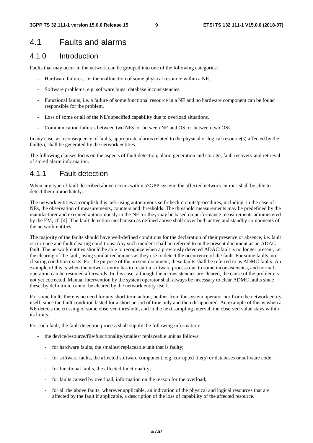#### 4.1 Faults and alarms

#### 4.1.0 Introduction

Faults that may occur in the network can be grouped into one of the following categories:

- Hardware failures, i.e. the malfunction of some physical resource within a NE.
- Software problems, e.g. software bugs, database inconsistencies.
- Functional faults, i.e. a failure of some functional resource in a NE and no hardware component can be found responsible for the problem.
- Loss of some or all of the NE's specified capability due to overload situations.
- Communication failures between two NEs, or between NE and OS, or between two OSs.

In any case, as a consequence of faults, appropriate alarms related to the physical or logical resource(s) affected by the fault(s), shall be generated by the network entities.

The following clauses focus on the aspects of fault detection, alarm generation and storage, fault recovery and retrieval of stored alarm information.

#### 4.1.1 Fault detection

When any type of fault described above occurs within a3GPP system, the affected network entities shall be able to detect them immediately.

The network entities accomplish this task using autonomous self-check circuits/procedures, including, in the case of NEs, the observation of measurements, counters and thresholds. The threshold measurements may be predefined by the manufacturer and executed autonomously in the NE, or they may be based on performance measurements administered by the EM, cf. [4]. The fault detection mechanism as defined above shall cover both active and standby components of the network entities.

The majority of the faults should have well-defined conditions for the declaration of their presence or absence, i.e. fault occurrence and fault clearing conditions. Any such incident shall be referred to in the present document as an ADAC fault. The network entities should be able to recognize when a previously detected ADAC fault is no longer present, i.e. the clearing of the fault, using similar techniques as they use to detect the occurrence of the fault. For some faults, no clearing condition exists. For the purpose of the present document, these faults shall be referred to as ADMC faults. An example of this is when the network entity has to restart a software process due to some inconsistencies, and normal operation can be resumed afterwards. In this case, although the inconsistencies are cleared, the cause of the problem is not yet corrected. Manual intervention by the system operator shall always be necessary to clear ADMC faults since these, by definition, cannot be cleared by the network entity itself.

For some faults there is no need for any short-term action, neither from the system operator nor from the network entity itself, since the fault condition lasted for a short period of time only and then disappeared. An example of this is when a NE detects the crossing of some observed threshold, and in the next sampling interval, the observed value stays within its limits.

For each fault, the fault detection process shall supply the following information:

- the device/resource/file/functionality/smallest replaceable unit as follows:
	- for hardware faults, the smallest replaceable unit that is faulty;
	- for software faults, the affected software component, e.g. corrupted file(s) or databases or software code;
	- for functional faults, the affected functionality;
	- for faults caused by overload, information on the reason for the overload;
	- for all the above faults, wherever applicable, an indication of the physical and logical resources that are affected by the fault if applicable, a description of the loss of capability of the affected resource.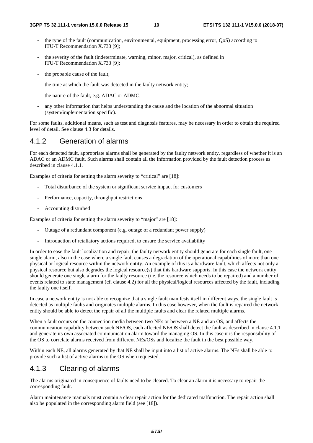- the type of the fault (communication, environmental, equipment, processing error, QoS) according to ITU-T Recommendation X.733 [9];
- the severity of the fault (indeterminate, warning, minor, major, critical), as defined in ITU-T Recommendation X.733 [9];
- the probable cause of the fault;
- the time at which the fault was detected in the faulty network entity;
- the nature of the fault, e.g. ADAC or ADMC;
- any other information that helps understanding the cause and the location of the abnormal situation (system/implementation specific).

For some faults, additional means, such as test and diagnosis features, may be necessary in order to obtain the required level of detail. See clause 4.3 for details.

#### 4.1.2 Generation of alarms

For each detected fault, appropriate alarms shall be generated by the faulty network entity, regardless of whether it is an ADAC or an ADMC fault. Such alarms shall contain all the information provided by the fault detection process as described in clause 4.1.1.

Examples of criteria for setting the alarm severity to "critical" are [18]:

- Total disturbance of the system or significant service impact for customers
- Performance, capacity, throughput restrictions
- Accounting disturbed

Examples of criteria for setting the alarm severity to "major" are [18]:

- Outage of a redundant component (e.g. outage of a redundant power supply)
- Introduction of retaliatory actions required, to ensure the service availability

In order to ease the fault localization and repair, the faulty network entity should generate for each single fault, one single alarm, also in the case where a single fault causes a degradation of the operational capabilities of more than one physical or logical resource within the network entity. An example of this is a hardware fault, which affects not only a physical resource but also degrades the logical resource(s) that this hardware supports. In this case the network entity should generate one single alarm for the faulty resource (i.e. the resource which needs to be repaired) and a number of events related to state management (cf. clause 4.2) for all the physical/logical resources affected by the fault, including the faulty one itself.

In case a network entity is not able to recognize that a single fault manifests itself in different ways, the single fault is detected as multiple faults and originates multiple alarms. In this case however, when the fault is repaired the network entity should be able to detect the repair of all the multiple faults and clear the related multiple alarms.

When a fault occurs on the connection media between two NEs or between a NE and an OS, and affects the communication capability between such NE/OS, each affected NE/OS shall detect the fault as described in clause 4.1.1 and generate its own associated communication alarm toward the managing OS. In this case it is the responsibility of the OS to correlate alarms received from different NEs/OSs and localize the fault in the best possible way.

Within each NE, all alarms generated by that NE shall be input into a list of active alarms. The NEs shall be able to provide such a list of active alarms to the OS when requested.

#### 4.1.3 Clearing of alarms

The alarms originated in consequence of faults need to be cleared. To clear an alarm it is necessary to repair the corresponding fault.

Alarm maintenance manuals must contain a clear repair action for the dedicated malfunction. The repair action shall also be populated in the corresponding alarm field (see [18]).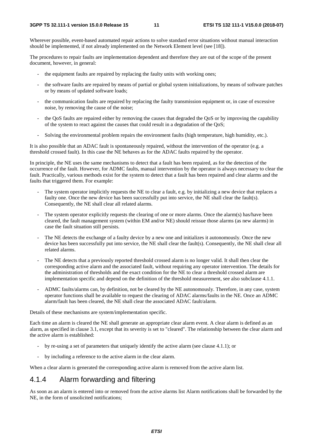Wherever possible, event-based automated repair actions to solve standard error situations without manual interaction should be implemented, if not already implemented on the Network Element level (see [18]).

The procedures to repair faults are implementation dependent and therefore they are out of the scope of the present document, however, in general:

- the equipment faults are repaired by replacing the faulty units with working ones;
- the software faults are repaired by means of partial or global system initializations, by means of software patches or by means of updated software loads;
- the communication faults are repaired by replacing the faulty transmission equipment or, in case of excessive noise, by removing the cause of the noise;
- the QoS faults are repaired either by removing the causes that degraded the QoS or by improving the capability of the system to react against the causes that could result in a degradation of the QoS;
- Solving the environmental problem repairs the environment faults (high temperature, high humidity, etc.).

It is also possible that an ADAC fault is spontaneously repaired, without the intervention of the operator (e.g. a threshold crossed fault). In this case the NE behaves as for the ADAC faults repaired by the operator.

In principle, the NE uses the same mechanisms to detect that a fault has been repaired, as for the detection of the occurrence of the fault. However, for ADMC faults, manual intervention by the operator is always necessary to clear the fault. Practically, various methods exist for the system to detect that a fault has been repaired and clear alarms and the faults that triggered them. For example:

- The system operator implicitly requests the NE to clear a fault, e.g. by initializing a new device that replaces a faulty one. Once the new device has been successfully put into service, the NE shall clear the fault(s). Consequently, the NE shall clear all related alarms.
- The system operator explicitly requests the clearing of one or more alarms. Once the alarm(s) has/have been cleared, the fault management system (within EM and/or NE) should reissue those alarms (as new alarms) in case the fault situation still persists.
- The NE detects the exchange of a faulty device by a new one and initializes it autonomously. Once the new device has been successfully put into service, the NE shall clear the fault(s). Consequently, the NE shall clear all related alarms.
- The NE detects that a previously reported threshold crossed alarm is no longer valid. It shall then clear the corresponding active alarm and the associated fault, without requiring any operator intervention. The details for the administration of thresholds and the exact condition for the NE to clear a threshold crossed alarm are implementation specific and depend on the definition of the threshold measurement, see also subclause 4.1.1.
- ADMC faults/alarms can, by definition, not be cleared by the NE autonomously. Therefore, in any case, system operator functions shall be available to request the clearing of ADAC alarms/faults in the NE. Once an ADMC alarm/fault has been cleared, the NE shall clear the associated ADAC fault/alarm.

Details of these mechanisms are system/implementation specific.

Each time an alarm is cleared the NE shall generate an appropriate clear alarm event. A clear alarm is defined as an alarm, as specified in clause 3.1, except that its severity is set to "cleared". The relationship between the clear alarm and the active alarm is established:

- by re-using a set of parameters that uniquely identify the active alarm (see clause 4.1.1); or
- by including a reference to the active alarm in the clear alarm.

When a clear alarm is generated the corresponding active alarm is removed from the active alarm list.

#### 4.1.4 Alarm forwarding and filtering

As soon as an alarm is entered into or removed from the active alarms list Alarm notifications shall be forwarded by the NE, in the form of unsolicited notifications;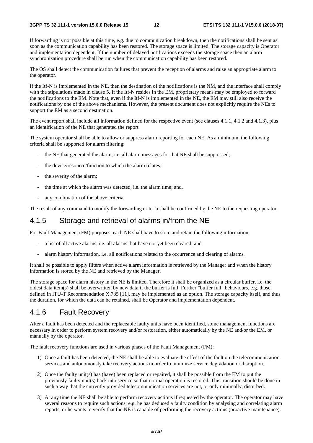If forwarding is not possible at this time, e.g. due to communication breakdown, then the notifications shall be sent as soon as the communication capability has been restored. The storage space is limited. The storage capacity is Operator and implementation dependent. If the number of delayed notifications exceeds the storage space then an alarm synchronization procedure shall be run when the communication capability has been restored.

The OS shall detect the communication failures that prevent the reception of alarms and raise an appropriate alarm to the operator.

If the Itf-N is implemented in the NE, then the destination of the notifications is the NM, and the interface shall comply with the stipulations made in clause 5. If the Itf-N resides in the EM, proprietary means may be employed to forward the notifications to the EM. Note that, even if the Itf-N is implemented in the NE, the EM may still also receive the notifications by one of the above mechanisms. However, the present document does not explicitly require the NEs to support the EM as a second destination.

The event report shall include all information defined for the respective event (see clauses 4.1.1, 4.1.2 and 4.1.3), plus an identification of the NE that generated the report.

The system operator shall be able to allow or suppress alarm reporting for each NE. As a minimum, the following criteria shall be supported for alarm filtering:

- the NE that generated the alarm, i.e. all alarm messages for that NE shall be suppressed;
- the device/resource/function to which the alarm relates:
- the severity of the alarm:
- the time at which the alarm was detected, i.e. the alarm time; and,
- any combination of the above criteria.

The result of any command to modify the forwarding criteria shall be confirmed by the NE to the requesting operator.

#### 4.1.5 Storage and retrieval of alarms in/from the NE

For Fault Management (FM) purposes, each NE shall have to store and retain the following information:

- a list of all active alarms, i.e. all alarms that have not yet been cleared; and
- alarm history information, i.e. all notifications related to the occurrence and clearing of alarms.

It shall be possible to apply filters when active alarm information is retrieved by the Manager and when the history information is stored by the NE and retrieved by the Manager.

The storage space for alarm history in the NE is limited. Therefore it shall be organized as a circular buffer, i.e. the oldest data item(s) shall be overwritten by new data if the buffer is full. Further "buffer full" behaviours, e.g. those defined in ITU-T Recommendation X.735 [11], may be implemented as an option. The storage capacity itself, and thus the duration, for which the data can be retained, shall be Operator and implementation dependent.

#### 4.1.6 Fault Recovery

After a fault has been detected and the replaceable faulty units have been identified, some management functions are necessary in order to perform system recovery and/or restoration, either automatically by the NE and/or the EM, or manually by the operator.

The fault recovery functions are used in various phases of the Fault Management (FM):

- 1) Once a fault has been detected, the NE shall be able to evaluate the effect of the fault on the telecommunication services and autonomously take recovery actions in order to minimize service degradation or disruption.
- 2) Once the faulty unit(s) has (have) been replaced or repaired, it shall be possible from the EM to put the previously faulty unit(s) back into service so that normal operation is restored. This transition should be done in such a way that the currently provided telecommunication services are not, or only minimally, disturbed.
- 3) At any time the NE shall be able to perform recovery actions if requested by the operator. The operator may have several reasons to require such actions; e.g. he has deduced a faulty condition by analysing and correlating alarm reports, or he wants to verify that the NE is capable of performing the recovery actions (proactive maintenance).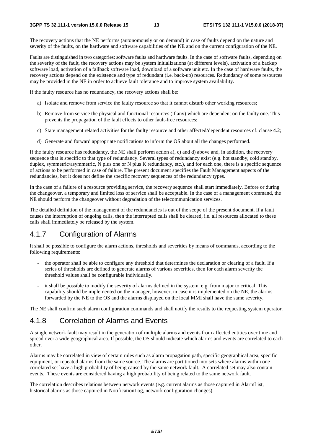The recovery actions that the NE performs (autonomously or on demand) in case of faults depend on the nature and severity of the faults, on the hardware and software capabilities of the NE and on the current configuration of the NE.

Faults are distinguished in two categories: software faults and hardware faults. In the case of software faults, depending on the severity of the fault, the recovery actions may be system initializations (at different levels), activation of a backup software load, activation of a fallback software load, download of a software unit etc. In the case of hardware faults, the recovery actions depend on the existence and type of redundant (i.e. back-up) resources. Redundancy of some resources may be provided in the NE in order to achieve fault tolerance and to improve system availability.

If the faulty resource has no redundancy, the recovery actions shall be:

- a) Isolate and remove from service the faulty resource so that it cannot disturb other working resources;
- b) Remove from service the physical and functional resources (if any) which are dependent on the faulty one. This prevents the propagation of the fault effects to other fault-free resources;
- c) State management related activities for the faulty resource and other affected/dependent resources cf. clause 4.2;
- d) Generate and forward appropriate notifications to inform the OS about all the changes performed.

If the faulty resource has redundancy, the NE shall perform action a), c) and d) above and, in addition, the recovery sequence that is specific to that type of redundancy. Several types of redundancy exist (e.g. hot standby, cold standby, duplex, symmetric/asymmetric, N plus one or N plus K redundancy, etc.), and for each one, there is a specific sequence of actions to be performed in case of failure. The present document specifies the Fault Management aspects of the redundancies, but it does not define the specific recovery sequences of the redundancy types.

In the case of a failure of a resource providing service, the recovery sequence shall start immediately. Before or during the changeover, a temporary and limited loss of service shall be acceptable. In the case of a management command, the NE should perform the changeover without degradation of the telecommunication services.

The detailed definition of the management of the redundancies is out of the scope of the present document. If a fault causes the interruption of ongoing calls, then the interrupted calls shall be cleared, i.e. all resources allocated to these calls shall immediately be released by the system.

#### 4.1.7 Configuration of Alarms

It shall be possible to configure the alarm actions, thresholds and severities by means of commands, according to the following requirements:

- the operator shall be able to configure any threshold that determines the declaration or clearing of a fault. If a series of thresholds are defined to generate alarms of various severities, then for each alarm severity the threshold values shall be configurable individually.
- it shall be possible to modify the severity of alarms defined in the system, e.g. from major to critical. This capability should be implemented on the manager, however, in case it is implemented on the NE, the alarms forwarded by the NE to the OS and the alarms displayed on the local MMI shall have the same severity.

The NE shall confirm such alarm configuration commands and shall notify the results to the requesting system operator.

#### 4.1.8 Correlation of Alarms and Events

A single network fault may result in the generation of multiple alarms and events from affected entities over time and spread over a wide geographical area. If possible, the OS should indicate which alarms and events are correlated to each other.

Alarms may be correlated in view of certain rules such as alarm propagation path, specific geographical area, specific equipment, or repeated alarms from the same source. The alarms are partitioned into sets where alarms within one correlated set have a high probability of being caused by the same network fault. A correlated set may also contain events. These events are considered having a high probability of being related to the same network fault.

The correlation describes relations between network events (e.g. current alarms as those captured in AlarmList, historical alarms as those captured in NotificationLog, network configuration changes).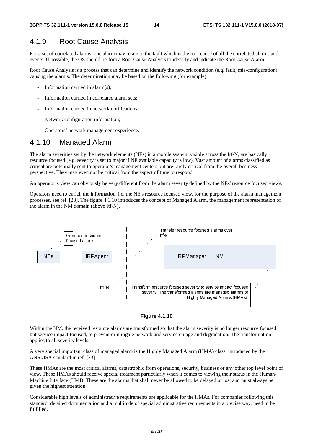#### 4.1.9 Root Cause Analysis

For a set of correlated alarms, one alarm may relate to the fault which is the root cause of all the correlated alarms and events. If possible, the OS should perfom a Root Cause Analysis to identify and indicate the Root Cause Alarm.

Root Cause Analysis is a process that can determine and identify the network condition (e.g. fault, mis-configuration) causing the alarms. The determination may be based on the following (for example):

- Information carried in alarm $(s)$ :
- Information carried in correlated alarm sets:
- Information carried in network notifications;
- Network configuration information:
- Operators' network management experience.

#### 4.1.10 Managed Alarm

The alarm severities set by the network elements (NEs) in a mobile system, visible across the Itf-N, are basically resource focused (e.g. severity is set to major if NE available capacity is low). Vast amount of alarms classified as critical are potentially sent to operator's management centers but are rarely critical from the overall business perspective. They may even not be critical from the aspect of time to respond.

An operator's view can obviously be very different from the alarm severity defined by the NEs' resource focused views.

Operators need to enrich the information, i.e. the NE's resource focused view, for the purpose of the alarm management processes, see ref. [23]. The figure 4.1.10 introduces the concept of Managed Alarm, the management representation of the alarm in the NM domain (above Itf-N).





Within the NM, the received resource alarms are transformed so that the alarm severity is no longer resource focused but service impact focused, to prevent or mitigate network and service outage and degradation. The transformation applies to all severity levels.

A very special important class of managed alarm is the Highly Managed Alarm (HMA) class, introduced by the ANSI/ISA standard in ref. [23].

These HMAs are the most critical alarms, catastrophic from operations, security, business or any other top level point of view. These HMAs should receive special treatment particularly when it comes to viewing their status in the Human-Machine Interface (HMI). These are the alarms that shall never be allowed to be delayed or lost and must always be given the highest attention.

Considerable high levels of administrative requirements are applicable for the HMAs. For companies following this standard, detailed documentation and a multitude of special administrative requirements in a precise way, need to be fulfilled.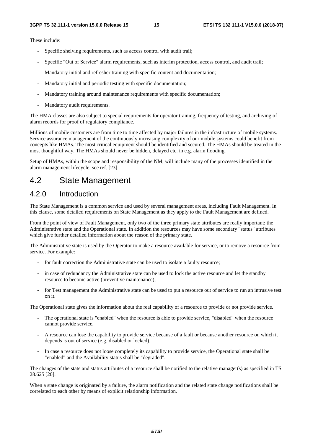These include:

- Specific shelving requirements, such as access control with audit trail;
- Specific "Out of Service" alarm requirements, such as interim protection, access control, and audit trail;
- Mandatory initial and refresher training with specific content and documentation;
- Mandatory initial and periodic testing with specific documentation;
- Mandatory training around maintenance requirements with specific documentation;
- Mandatory audit requirements.

The HMA classes are also subject to special requirements for operator training, frequency of testing, and archiving of alarm records for proof of regulatory compliance.

Millions of mobile customers are from time to time affected by major failures in the infrastructure of mobile systems. Service assurance management of the continuously increasing complexity of our mobile systems could benefit from concepts like HMAs. The most critical equipment should be identified and secured. The HMAs should be treated in the most thoughtful way. The HMAs should never be hidden, delayed etc. in e.g. alarm flooding.

Setup of HMAs, within the scope and responsibility of the NM, will include many of the processes identified in the alarm management lifecycle, see ref. [23].

#### 4.2 State Management

#### 4.2.0 Introduction

The State Management is a common service and used by several management areas, including Fault Management. In this clause, some detailed requirements on State Management as they apply to the Fault Management are defined.

From the point of view of Fault Management, only two of the three primary state attributes are really important: the Administrative state and the Operational state. In addition the resources may have some secondary "status" attributes which give further detailed information about the reason of the primary state.

The Administrative state is used by the Operator to make a resource available for service, or to remove a resource from service. For example:

- for fault correction the Administrative state can be used to isolate a faulty resource;
- in case of redundancy the Administrative state can be used to lock the active resource and let the standby resource to become active (preventive maintenance);
- for Test management the Administrative state can be used to put a resource out of service to run an intrusive test on it.

The Operational state gives the information about the real capability of a resource to provide or not provide service.

- The operational state is "enabled" when the resource is able to provide service, "disabled" when the resource cannot provide service.
- A resource can lose the capability to provide service because of a fault or because another resource on which it depends is out of service (e.g. disabled or locked).
- In case a resource does not loose completely its capability to provide service, the Operational state shall be "enabled" and the Availability status shall be "degraded".

The changes of the state and status attributes of a resource shall be notified to the relative manager(s) as specified in TS 28.625 [20].

When a state change is originated by a failure, the alarm notification and the related state change notifications shall be correlated to each other by means of explicit relationship information.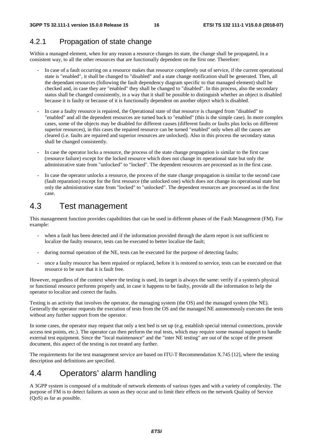#### 4.2.1 Propagation of state change

Within a managed element, when for any reason a resource changes its state, the change shall be propagated, in a consistent way, to all the other resources that are functionally dependent on the first one. Therefore:

- In case of a fault occurring on a resource makes that resource completely out of service, if the current operational state is "enabled", it shall be changed to "disabled" and a state change notification shall be generated. Then, all the dependant resources (following the fault dependency diagram specific to that managed element) shall be checked and, in case they are "enabled" they shall be changed to "disabled". In this process, also the secondary status shall be changed consistently, in a way that it shall be possible to distinguish whether an object is disabled because it is faulty or because of it is functionally dependent on another object which is disabled.
- In case a faulty resource is repaired, the Operational state of that resource is changed from "disabled" to "enabled" and all the dependent resources are turned back to "enabled" (this is the simple case). In more complex cases, some of the objects may be disabled for different causes (different faults or faults plus locks on different superior resources), in this cases the repaired resource can be turned "enabled" only when all the causes are cleared (i.e. faults are repaired and superior resources are unlocked). Also in this process the secondary status shall be changed consistently.
- In case the operator locks a resource, the process of the state change propagation is similar to the first case (resource failure) except for the locked resource which does not change its operational state but only the administrative state from "unlocked" to "locked". The dependent resources are processed as in the first case.
- In case the operator unlocks a resource, the process of the state change propagation is similar to the second case (fault reparation) except for the first resource (the unlocked one) which does not change its operational state but only the administrative state from "locked" to "unlocked". The dependent resources are processed as in the first case.

### 4.3 Test management

This management function provides capabilities that can be used in different phases of the Fault Management (FM). For example:

- when a fault has been detected and if the information provided through the alarm report is not sufficient to localize the faulty resource, tests can be executed to better localize the fault;
- during normal operation of the NE, tests can be executed for the purpose of detecting faults;
- once a faulty resource has been repaired or replaced, before it is restored to service, tests can be executed on that resource to be sure that it is fault free.

However, regardless of the context where the testing is used, its target is always the same: verify if a system's physical or functional resource performs properly and, in case it happens to be faulty, provide all the information to help the operator to localize and correct the faults.

Testing is an activity that involves the operator, the managing system (the OS) and the managed system (the NE). Generally the operator requests the execution of tests from the OS and the managed NE autonomously executes the tests without any further support from the operator.

In some cases, the operator may request that only a test bed is set up (e.g. establish special internal connections, provide access test points, etc.). The operator can then perform the real tests, which may require some manual support to handle external test equipment. Since the "local maintenance" and the "inter NE testing" are out of the scope of the present document, this aspect of the testing is not treated any further.

The requirements for the test management service are based on ITU-T Recommendation X.745 [12], where the testing description and definitions are specified.

### 4.4 Operators' alarm handling

A 3GPP system is composed of a multitude of network elements of various types and with a variety of complexity. The purpose of FM is to detect failures as soon as they occur and to limit their effects on the network Quality of Service (QoS) as far as possible.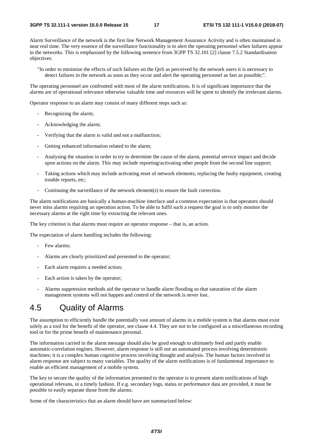Alarm Surveillance of the network is the first line Network Management Assurance Activity and is often maintained in near real time. The very essence of the surveillance functionality is to alert the operating personnel when failures appear in the networks. This is emphasized by the following sentence from 3GPP TS 32.101 [2] clause 7.5.2 Standardisation objectives:

"In order to minimise the effects of such failures on the QoS as perceived by the network users it is necessary to detect failures in the network as soon as they occur and alert the operating personnel as fast as possible;".

The operating personnel are confronted with most of the alarm notifications. It is of significant importance that the alarms are of operational relevance otherwise valuable time and resources will be spent to identify the irrelevant alarms.

Operator response to an alarm may consist of many different steps such as:

- Recognizing the alarm;
- Acknowledging the alarm;
- Verifying that the alarm is valid and not a malfunction;
- Getting enhanced information related to the alarm;
- Analysing the situation in order to try to determine the cause of the alarm, potential service impact and decide upon actions on the alarm. This may include reporting/activating other people from the second line support;
- Taking actions which may include activating reset of network elements, replacing the faulty equipment, creating trouble reports, etc;
- Continuing the surveillance of the network element(s) to ensure the fault correction.

The alarm notifications are basically a human-machine interface and a common expectation is that operators should never miss alarms requiring an operation action. To be able to fulfil such a request the goal is to only monitor the necessary alarms at the right time by extracting the relevant ones.

The key criterion is that alarms must require an operator response – that is, an action.

The expectation of alarm handling includes the following:

- Few alarms;
- Alarms are clearly prioritized and presented to the operator;
- Each alarm requires a needed action;
- Each action is taken by the operator;
- Alarms suppression methods aid the operator to handle alarm flooding so that saturation of the alarm management systems will not happen and control of the network is never lost.

#### 4.5 Quality of Alarms

The assumption to efficiently handle the potentially vast amount of alarms in a mobile system is that alarms must exist solely as a tool for the benefit of the operator, see clause 4.4. They are not to be configured as a miscellaneous recording tool or for the prime benefit of maintenance personal.

The information carried in the alarm message should also be good enough to ultimately feed and partly enable automatic-correlation engines. However, alarm response is still not an automated process involving deterministic machines; it is a complex human cognitive process involving thought and analysis. The human factors involved in alarm response are subject to many variables. The quality of the alarm notifications is of fundamental importance to enable an efficient management of a mobile system.

The key to secure the quality of the information presented to the operator is to present alarm notifications of high operational relevans, in a timely fashion. If e.g. secondary logs, status or performance data are provided, it must be possible to easily separate those from the alarms.

Some of the characteristics that an alarm should have are summarized below: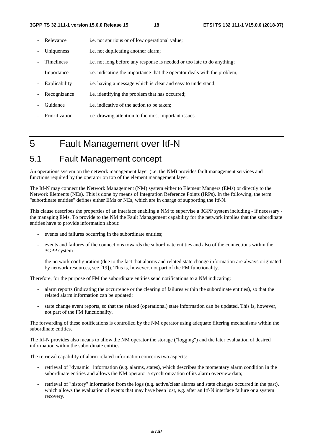- Relevance i.e. not spurious or of low operational value;
- Uniqueness i.e. not duplicating another alarm;
- Timeliness i.e. not long before any response is needed or too late to do anything;
- Importance i.e. indicating the importance that the operator deals with the problem;
- Explicability i.e. having a message which is clear and easy to understand;
- Recognizance i.e. identifying the problem that has occurred;
- Guidance i.e. indicative of the action to be taken;
- Prioritization i.e. drawing attention to the most important issues.

### 5 Fault Management over Itf-N

### 5.1 Fault Management concept

An operations system on the network management layer (i.e. the NM) provides fault management services and functions required by the operator on top of the element management layer.

The Itf-N may connect the Network Management (NM) system either to Element Mangers (EMs) or directly to the Network Elements (NEs). This is done by means of Integration Reference Points (IRPs). In the following, the term "subordinate entities" defines either EMs or NEs, which are in charge of supporting the Itf-N.

This clause describes the properties of an interface enabling a NM to supervise a 3GPP system including - if necessary the managing EMs. To provide to the NM the Fault Management capability for the network implies that the subordinate entities have to provide information about:

- events and failures occurring in the subordinate entities;
- events and failures of the connections towards the subordinate entities and also of the connections within the 3GPP system ;
- the network configuration (due to the fact that alarms and related state change information are always originated by network resources, see [19]). This is, however, not part of the FM functionality.

Therefore, for the purpose of FM the subordinate entities send notifications to a NM indicating:

- alarm reports (indicating the occurrence or the clearing of failures within the subordinate entities), so that the related alarm information can be updated;
- state change event reports, so that the related (operational) state information can be updated. This is, however, not part of the FM functionality.

The forwarding of these notifications is controlled by the NM operator using adequate filtering mechanisms within the subordinate entities.

The Itf-N provides also means to allow the NM operator the storage ("logging") and the later evaluation of desired information within the subordinate entities.

The retrieval capability of alarm-related information concerns two aspects:

- retrieval of "dynamic" information (e.g. alarms, states), which describes the momentary alarm condition in the subordinate entities and allows the NM operator a synchronization of its alarm overview data;
- retrieval of "history" information from the logs (e.g. active/clear alarms and state changes occurred in the past), which allows the evaluation of events that may have been lost, e.g. after an Itf-N interface failure or a system recovery.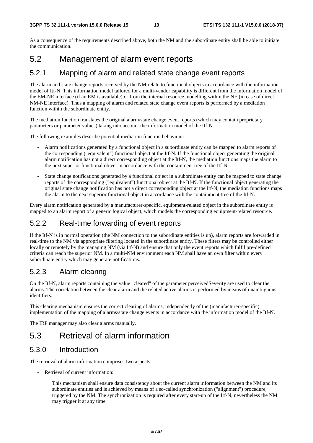As a consequence of the requirements described above, both the NM and the subordinate entity shall be able to initiate the communication.

#### 5.2 Management of alarm event reports

#### 5.2.1 Mapping of alarm and related state change event reports

The alarm and state change reports received by the NM relate to functional objects in accordance with the information model of Itf-N. This information model tailored for a multi-vendor capability is different from the information model of the EM-NE interface (if an EM is available) or from the internal resource modelling within the NE (in case of direct NM-NE interface). Thus a mapping of alarm and related state change event reports is performed by a mediation function within the subordinate entity.

The mediation function translates the original alarm/state change event reports (which may contain proprietary parameters or parameter values) taking into account the information model of the Itf-N.

The following examples describe potential mediation function behaviour:

- Alarm notifications generated by a functional object in a subordinate entity can be mapped to alarm reports of the corresponding ("equivalent") functional object at the Itf-N. If the functional object generating the original alarm notification has not a direct corresponding object at the Itf-N, the mediation functions maps the alarm to the next superior functional object in accordance with the containment tree of the Itf-N.
- State change notifications generated by a functional object in a subordinate entity can be mapped to state change reports of the corresponding ("equivalent") functional object at the Itf-N. If the functional object generating the original state change notification has not a direct corresponding object at the Itf-N, the mediation functions maps the alarm to the next superior functional object in accordance with the containment tree of the Itf-N.

Every alarm notification generated by a manufacturer-specific, equipment-related object in the subordinate entity is mapped to an alarm report of a generic logical object, which models the corresponding equipment-related resource.

#### 5.2.2 Real-time forwarding of event reports

If the Itf-N is in normal operation (the NM connection to the subordinate entities is up), alarm reports are forwarded in real-time to the NM via appropriate filtering located in the subordinate entity. These filters may be controlled either locally or remotely by the managing NM (via Itf-N) and ensure that only the event reports which fulfil pre-defined criteria can reach the superior NM. In a multi-NM environment each NM shall have an own filter within every subordinate entity which may generate notifications.

#### 5.2.3 Alarm clearing

On the Itf-N, alarm reports containing the value "cleared" of the parameter perceivedSeverity are used to clear the alarms. The correlation between the clear alarm and the related active alarms is performed by means of unambiguous identifiers.

This clearing mechanism ensures the correct clearing of alarms, independently of the (manufacturer-specific) implementation of the mapping of alarms/state change events in accordance with the information model of the Itf-N.

The IRP manager may also clear alarms manually.

### 5.3 Retrieval of alarm information

#### 5.3.0 Introduction

The retrieval of alarm information comprises two aspects:

Retrieval of current information:

 This mechanism shall ensure data consistency about the current alarm information between the NM and its subordinate entities and is achieved by means of a so-called synchronization ("alignment") procedure, triggered by the NM. The synchronization is required after every start-up of the Itf-N, nevertheless the NM may trigger it at any time.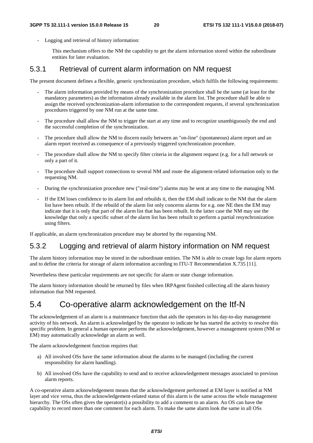- Logging and retrieval of history information:

 This mechanism offers to the NM the capability to get the alarm information stored within the subordinate entities for later evaluation.

#### 5.3.1 Retrieval of current alarm information on NM request

The present document defines a flexible, generic synchronization procedure, which fulfils the following requirements:

- The alarm information provided by means of the synchronization procedure shall be the same (at least for the mandatory parameters) as the information already available in the alarm list. The procedure shall be able to assign the received synchronization-alarm information to the correspondent requests, if several synchronization procedures triggered by one NM run at the same time.
- The procedure shall allow the NM to trigger the start at any time and to recognize unambiguously the end and the successful completion of the synchronization.
- The procedure shall allow the NM to discern easily between an "on-line" (spontaneous) alarm report and an alarm report received as consequence of a previously triggered synchronization procedure.
- The procedure shall allow the NM to specify filter criteria in the alignment request (e.g. for a full network or only a part of it.
- The procedure shall support connections to several NM and route the alignment-related information only to the requesting NM.
- During the synchronization procedure new ("real-time") alarms may be sent at any time to the managing NM.
- If the EM loses confidence to its alarm list and rebuilds it, then the EM shall indicate to the NM that the alarm list have been rebuilt. If the rebuild of the alarm list only concerns alarms for e.g. one NE then the EM may indicate that it is only that part of the alarm list that has been rebuilt. In the latter case the NM may use the knowledge that only a specific subset of the alarm list has been rebuilt to perform a partial resynchronization using filters.

If applicable, an alarm synchronization procedure may be aborted by the requesting NM.

#### 5.3.2 Logging and retrieval of alarm history information on NM request

The alarm history information may be stored in the subordinate entities. The NM is able to create logs for alarm reports and to define the criteria for storage of alarm information according to ITU-T Recommendation X.735 [11].

Nevertheless these particular requirements are not specific for alarm or state change information.

The alarm history information should be returned by files when IRPAgent finished collecting all the alarm history information that NM requested.

#### 5.4 Co-operative alarm acknowledgement on the Itf-N

The acknowledgement of an alarm is a maintenance function that aids the operators in his day-to-day management activity of his network. An alarm is acknowledged by the operator to indicate he has started the activity to resolve this specific problem. In general a human operator performs the acknowledgement, however a management system (NM or EM) may automatically acknowledge an alarm as well.

The alarm acknowledgement function requires that:

- a) All involved OSs have the same information about the alarms to be managed (including the current responsibility for alarm handling).
- b) All involved OSs have the capability to send and to receive acknowledgement messages associated to previous alarm reports.

A co-operative alarm acknowledgement means that the acknowledgement performed at EM layer is notified at NM layer and vice versa, thus the acknowledgement-related status of this alarm is the same across the whole management hierarchy. The OSs often gives the operator(s) a possibility to add a comment to an alarm. An OS can have the capability to record more than one comment for each alarm. To make the same alarm look the same in all OSs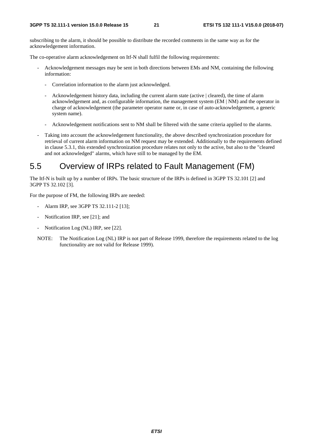subscribing to the alarm, it should be possible to distribute the recorded comments in the same way as for the acknowledgement information.

The co-operative alarm acknowledgement on Itf-N shall fulfil the following requirements:

- Acknowledgement messages may be sent in both directions between EMs and NM, containing the following information:
	- Correlation information to the alarm just acknowledged.
	- Acknowledgement history data, including the current alarm state (active | cleared), the time of alarm acknowledgement and, as configurable information, the management system (EM | NM) and the operator in charge of acknowledgement (the parameter operator name or, in case of auto-acknowledgement, a generic system name).
	- Acknowledgement notifications sent to NM shall be filtered with the same criteria applied to the alarms.
- Taking into account the acknowledgement functionality, the above described synchronization procedure for retrieval of current alarm information on NM request may be extended. Additionally to the requirements defined in clause 5.3.1, this extended synchronization procedure relates not only to the active, but also to the "cleared and not acknowledged" alarms, which have still to be managed by the EM.

### 5.5 Overview of IRPs related to Fault Management (FM)

The Itf-N is built up by a number of IRPs. The basic structure of the IRPs is defined in 3GPP TS 32.101 [2] and 3GPP TS 32.102 [3].

For the purpose of FM, the following IRPs are needed:

- Alarm IRP, see 3GPP TS 32.111-2 [13];
- Notification IRP, see [21]; and
- Notification Log (NL) IRP, see [22].
- NOTE: The Notification Log (NL) IRP is not part of Release 1999, therefore the requirements related to the log functionality are not valid for Release 1999).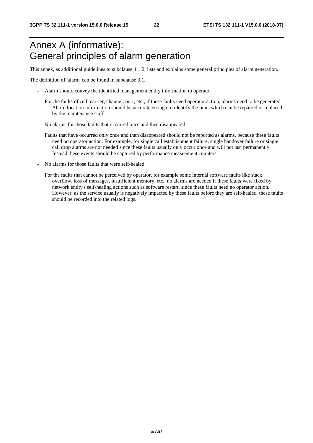# Annex A (informative): General principles of alarm generation

This annex, as additional guidelines to subclause 4.1.2, lists and explains some general principles of alarm generation.

The definition of 'alarm' can be found in subclause 3.1.

- Alarm should convey the identified management entity information to operator
	- For the faults of cell, carrier, channel, port, etc., if these faults need operator action, alarms need to be generated. Alarm location information should be accurate enough to identify the units which can be repaired or replaced by the maintenance staff.
- No alarms for those faults that occurred once and then disappeared
	- Faults that have occurred only once and then disappeared should not be reported as alarms, because these faults need no operator action. For example, for single call establishment failure, single handover failure or single call drop alarms are not needed since these faults usually only occur once and will not last permanently. Instead these events should be captured by performance measuement counters.
- No alarms for those faults that were self-healed
	- For the faults that cannot be perceived by operator, for example some internal software faults like stack overflow, loss of messages, insufficient memory, etc., no alarms are needed if these faults were fixed by network entity's self-healing actions such as software restart, since these faults need no operator action. However, as the service usually is negatively impacted by these faults before they are self-healed, these faults should be recorded into the related logs.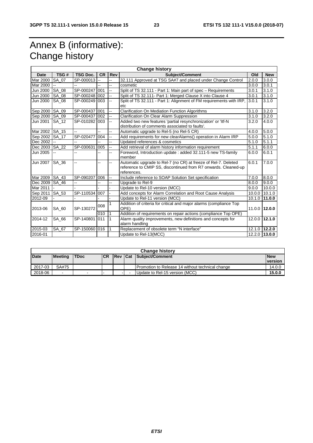# Annex B (informative): Change history

| <b>Change history</b> |                                                                                                           |                          |           |                          |                                                                     |        |                 |  |
|-----------------------|-----------------------------------------------------------------------------------------------------------|--------------------------|-----------|--------------------------|---------------------------------------------------------------------|--------|-----------------|--|
| Date                  | TSG#                                                                                                      | <b>TSG Doc.</b>          | <b>CR</b> | Rev                      | <b>Subject/Comment</b>                                              | Old    | <b>New</b>      |  |
| Mar 2000              | SA 07                                                                                                     | SP-000013                | Ш,        | цü                       | 32.111 Approved at TSG SA#7 and placed under Change Control         | 2.0.0  | 3.0.0           |  |
| Mar 2000              |                                                                                                           |                          |           | $\overline{\phantom{a}}$ | cosmetic                                                            | 3.0.0  | 3.0.1           |  |
| Jun 2000              | SA 08                                                                                                     | SP-000247                | 001       | ш,                       | Split of TS 32.111 - Part 1: Main part of spec - Requirements       | 3.0.1  | 3.1.0           |  |
| Jun 2000              | SA 08                                                                                                     | SP-000248 002            |           | Щ,                       | Split of TS 32.111- Part 1: Merged Clause X into Clause 4           | 3.0.1  | 3.1.0           |  |
| Jun 2000              | SA_08                                                                                                     | SP-000249                | 003       | --                       | Split of TS 32.111 - Part 1: Alignment of FM requirements with IRP, | 3.0.1  | 3.1.0           |  |
|                       |                                                                                                           |                          |           |                          | etc                                                                 |        |                 |  |
| Sep 2000              | SA 09                                                                                                     | SP-000437 001            |           | ш,                       | <b>Clarification On Mediation Function Algorithms</b>               | 3.1.0  | 3.2.0           |  |
| Sep 2000              | SA 09                                                                                                     | SP-000437 002            |           | ш,                       | Clarification On Clear Alarm Suppression                            | 3.1.0  | 3.2.0           |  |
| Jun 2001              | SA 12                                                                                                     | SP-010282                | 003       | --                       | Added two new features 'partial resynchronization' or 'ltf-N        | 3.2.0  | 4.0.0           |  |
|                       |                                                                                                           |                          |           |                          | distribution of comments associated to faults'.                     |        |                 |  |
| Mar 2002              | SA 15                                                                                                     | $\overline{a}$           | --        | $\overline{a}$           | Automatic upgrade to Rel-5 (no Rel-5 CR)                            | 4.0.0  | 5.0.0           |  |
| Sep 2002              | SA 17                                                                                                     | SP-020477                | 004       | ш,                       | Add requirements for new clearAlarms() operation in Alarm IRP       | 5.0.0  | 5.1.0           |  |
| Dec 2002              |                                                                                                           |                          |           | $\overline{\phantom{a}}$ | Updated references & cosmetics                                      | 5.1.0  | 5.1.1           |  |
| Dec 2003              | SA_22                                                                                                     | SP-030631                | 005       | Щ,                       | Add retrieval of alarm history information requirement              | 5.1.1  | 6.0.0           |  |
| Jun 2005              |                                                                                                           |                          |           | ш,                       | Foreword, Introduction update: added 32.111-5 new TS-family         | 6.0.0  | 6.0.1           |  |
|                       |                                                                                                           |                          |           |                          | member                                                              |        |                 |  |
| Jun 2007              | SA 36                                                                                                     | $\overline{\phantom{a}}$ | --        | ш,                       | Automatic upgrade to Rel-7 (no CR) at freeze of Rel-7. Deleted      | 6.0.1  | 7.0.0           |  |
|                       |                                                                                                           |                          |           |                          | reference to CMIP SS, discontinued from R7 onwards. Cleaned-up      |        |                 |  |
|                       |                                                                                                           |                          |           |                          | references.                                                         |        |                 |  |
| Mar 2009              | SA 43                                                                                                     | SP-090207                | 006       | ш,                       | Include reference to SOAP Solution Set specification                | 7.0.0  | 8.0.0           |  |
| Dec 2009              | SA 46                                                                                                     |                          |           |                          | Upgrade to Rel-9                                                    | 8.0.0  | 9.0.0           |  |
| Mar 2011              |                                                                                                           |                          |           |                          | Update to Rel-10 version (MCC)                                      | 9.0.0  | 10.0.0          |  |
| Sep 2011              | SA 53                                                                                                     | SP-110534                | 007       |                          | Add concepts for Alarm Correlation and Root Cause Analysis          | 10.0.0 | 10.1.0          |  |
| 2012-09               |                                                                                                           |                          |           |                          | Update to Rel-11 version (MCC)                                      | 10.1.0 | 111.0.0         |  |
|                       |                                                                                                           |                          | 008       |                          | Addition of criteria for critical and major alarms (compliance Top  |        |                 |  |
| 2013-06               | SA 60                                                                                                     | SP-130272                |           |                          | OPE)                                                                | 11.0.0 | 112.0.0         |  |
|                       |                                                                                                           |                          | 010       | 1                        | Addition of requirements on repair actions (compliance Top OPE)     |        |                 |  |
| 2014-12               | SA 66<br>SP-140801<br>Alarm quality improvements, new definitions and concepts for<br>011<br>$\mathbf{1}$ |                          |           | 12.0.0 12.1.0            |                                                                     |        |                 |  |
|                       |                                                                                                           |                          |           |                          | alarm handling                                                      |        |                 |  |
| 2015-03               | SA_67                                                                                                     | SP-150060                | 016       |                          | Replacement of obsolete term "N interface"                          |        | 12.1.0 12.2.0   |  |
| 2016-01               |                                                                                                           |                          |           |                          | Update to Rel-13(MCC)                                               |        | $12.2.0$ 13.0.0 |  |

| <b>Change history</b> |                |             |            |         |  |                                                  |                              |
|-----------------------|----------------|-------------|------------|---------|--|--------------------------------------------------|------------------------------|
| <b>Date</b>           | <b>Meeting</b> | <b>TDoc</b> | <b>ICR</b> | Rev Cat |  | Subject/Comment                                  | <b>New</b><br><b>version</b> |
| 2017-03               | SA#75          |             |            |         |  | Promotion to Release 14 without technical change | 14.0.0                       |
| 2018-06               | $\sim$         |             |            |         |  | Update to Rel-15 version (MCC)                   | 15.0.0                       |